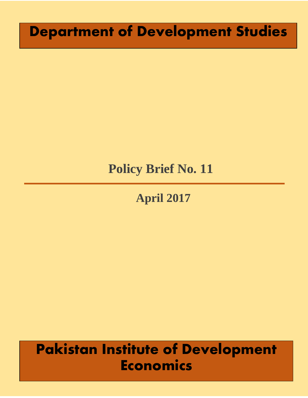# **Department of Development Studies**

## **Policy Brief No. 11**

# **April 2017**

# **Pakistan Institute of Development Economics**